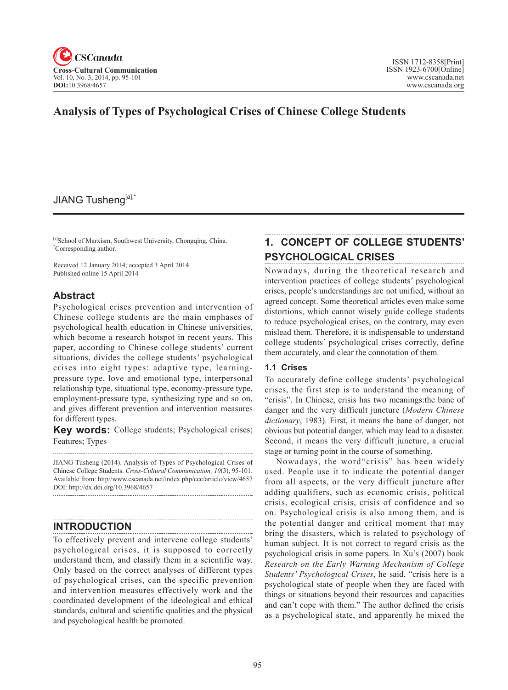

## **Analysis of Types of Psychological Crises of Chinese College Students**

## JIANG Tusheng[a],\*

[a]School of Marxism, Southwest University, Chongqing, China. \* Corresponding author.

Received 12 January 2014; accepted 3 April 2014 Published online 15 April 2014

## **Abstract**

Psychological crises prevention and intervention of Chinese college students are the main emphases of psychological health education in Chinese universities, which become a research hotspot in recent years. This paper, according to Chinese college students' current situations, divides the college students' psychological crises into eight types: adaptive type, learningpressure type, love and emotional type, interpersonal relationship type, situational type, economy-pressure type, employment-pressure type, synthesizing type and so on, and gives different prevention and intervention measures for different types.

**Key words:** College students; Psychological crises; Features; Types

JIANG Tusheng (2014). Analysis of Types of Psychological Crises of Chinese College Students. *Cross-Cultural Communication, 10*(3), 95-101. Available from: http//www.cscanada.net/index.php/ccc/article/view/4657 DOI: http://dx.doi.org/10.3968/4657

## **INTRODUCTION**

To effectively prevent and intervene college students' psychological crises, it is supposed to correctly understand them, and classify them in a scientific way. Only based on the correct analyses of different types of psychological crises, can the specific prevention and intervention measures effectively work and the coordinated development of the ideological and ethical standards, cultural and scientific qualities and the physical and psychological health be promoted.

## **1. CONCEPT OF COLLEGE STUDENTS' PSYCHOLOGICAL CRISES**

Nowadays, during the theoretical research and intervention practices of college students' psychological crises, people's understandings are not unified, without an agreed concept. Some theoretical articles even make some distortions, which cannot wisely guide college students to reduce psychological crises, on the contrary, may even mislead them. Therefore, it is indispensable to understand college students' psychological crises correctly, define them accurately, and clear the connotation of them.

#### **1.1 Crises**

To accurately define college students' psychological crises, the first step is to understand the meaning of "crisis". In Chinese, crisis has two meanings:the bane of danger and the very difficult juncture (*Modern Chinese dictionary*, 1983). First, it means the bane of danger, not obvious but potential danger, which may lead to a disaster. Second, it means the very difficult juncture, a crucial stage or turning point in the course of something.

Nowadays, the word"crisis" has been widely used. People use it to indicate the potential danger from all aspects, or the very difficult juncture after adding qualifiers, such as economic crisis, political crisis, ecological crisis, crisis of confidence and so on. Psychological crisis is also among them, and is the potential danger and critical moment that may bring the disasters, which is related to psychology of human subject. It is not correct to regard crisis as the psychological crisis in some papers. In Xu's (2007) book *Research on the Early Warning Mechanism of College Students' Psychological Crises*, he said, "crisis here is a psychological state of people when they are faced with things or situations beyond their resources and capacities and can't cope with them." The author defined the crisis as a psychological state, and apparently he mixed the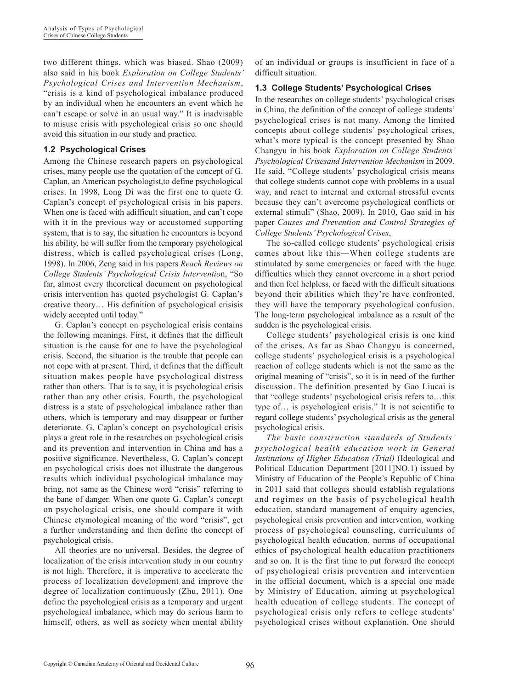two different things, which was biased. Shao (2009) also said in his book *Exploration on College Students' Psychological Crises and Intervention Mechanism*, "crisis is a kind of psychological imbalance produced by an individual when he encounters an event which he can't escape or solve in an usual way." It is inadvisable to misuse crisis with psychological crisis so one should avoid this situation in our study and practice.

#### **1.2 Psychological Crises**

Among the Chinese research papers on psychological crises, many people use the quotation of the concept of G. Caplan, an American psychologist,to define psychological crises. In 1998, Long Di was the first one to quote G. Caplan's concept of psychological crisis in his papers. When one is faced with adifficult situation, and can't cope with it in the previous way or accustomed supporting system, that is to say, the situation he encounters is beyond his ability, he will suffer from the temporary psychological distress, which is called psychological crises (Long, 1998). In 2006, Zeng said in his papers *Reach Reviews on College Students' Psychological Crisis Interventio*n, "So far, almost every theoretical document on psychological crisis intervention has quoted psychologist G. Caplan's creative theory… His definition of psychological crisisis widely accepted until today."

G. Caplan's concept on psychological crisis contains the following meanings. First, it defines that the difficult situation is the cause for one to have the psychological crisis. Second, the situation is the trouble that people can not cope with at present. Third, it defines that the difficult situation makes people have psychological distress rather than others. That is to say, it is psychological crisis rather than any other crisis. Fourth, the psychological distress is a state of psychological imbalance rather than others, which is temporary and may disappear or further deteriorate. G. Caplan's concept on psychological crisis plays a great role in the researches on psychological crisis and its prevention and intervention in China and has a positive significance. Nevertheless, G. Caplan's concept on psychological crisis does not illustrate the dangerous results which individual psychological imbalance may bring, not same as the Chinese word "crisis" referring to the bane of danger. When one quote G. Caplan's concept on psychological crisis, one should compare it with Chinese etymological meaning of the word "crisis", get a further understanding and then define the concept of psychological crisis.

All theories are no universal. Besides, the degree of localization of the crisis intervention study in our country is not high. Therefore, it is imperative to accelerate the process of localization development and improve the degree of localization continuously (Zhu, 2011). One define the psychological crisis as a temporary and urgent psychological imbalance, which may do serious harm to himself, others, as well as society when mental ability

of an individual or groups is insufficient in face of a difficult situation.

### **1.3 College Students' Psychological Crises**

In the researches on college students' psychological crises in China, the definition of the concept of college students' psychological crises is not many. Among the limited concepts about college students' psychological crises, what's more typical is the concept presented by Shao Changyu in his book *Exploration on College Students' Psychological Crisesand Intervention Mechanism* in 2009. He said, "College students' psychological crisis means that college students cannot cope with problems in a usual way, and react to internal and external stressful events because they can't overcome psychological conflicts or external stimuli" (Shao, 2009). In 2010, Gao said in his paper *Causes and Prevention and Control Strategies of College Students' Psychological Crises*,

The so-called college students' psychological crisis comes about like this—When college students are stimulated by some emergencies or faced with the huge difficulties which they cannot overcome in a short period and then feel helpless, or faced with the difficult situations beyond their abilities which they're have confronted, they will have the temporary psychological confusion. The long-term psychological imbalance as a result of the sudden is the psychological crisis.

College students' psychological crisis is one kind of the crises. As far as Shao Changyu is concerned, college students' psychological crisis is a psychological reaction of college students which is not the same as the original meaning of "crisis", so it is in need of the further discussion. The definition presented by Gao Liucai is that "college students' psychological crisis refers to…this type of… is psychological crisis." It is not scientific to regard college students' psychological crisis as the general psychological crisis.

*The basic construction standards of Students' psychological health education work in General Institutions of Higher Education (Trial)* (Ideological and Political Education Department [2011]NO.1) issued by Ministry of Education of the People's Republic of China in 2011 said that colleges should establish regulations and regimes on the basis of psychological health education, standard management of enquiry agencies, psychological crisis prevention and intervention, working process of psychological counseling, curriculums of psychological health education, norms of occupational ethics of psychological health education practitioners and so on. It is the first time to put forward the concept of psychological crisis prevention and intervention in the official document, which is a special one made by Ministry of Education, aiming at psychological health education of college students. The concept of psychological crisis only refers to college students' psychological crises without explanation. One should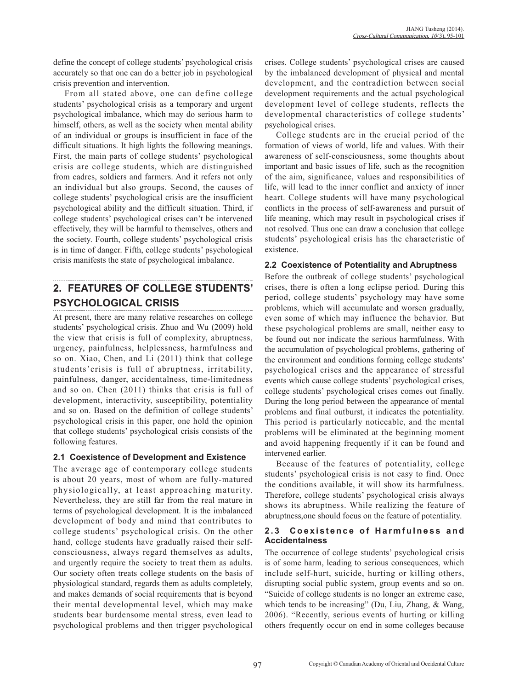define the concept of college students' psychological crisis accurately so that one can do a better job in psychological crisis prevention and intervention.

From all stated above, one can define college students' psychological crisis as a temporary and urgent psychological imbalance, which may do serious harm to himself, others, as well as the society when mental ability of an individual or groups is insufficient in face of the difficult situations. It high lights the following meanings. First, the main parts of college students' psychological crisis are college students, which are distinguished from cadres, soldiers and farmers. And it refers not only an individual but also groups. Second, the causes of college students' psychological crisis are the insufficient psychological ability and the difficult situation. Third, if college students' psychological crises can't be intervened effectively, they will be harmful to themselves, others and the society. Fourth, college students' psychological crisis is in time of danger. Fifth, college students' psychological crisis manifests the state of psychological imbalance.

# **2. FEATURES OF COLLEGE STUDENTS' PSYCHOLOGICAL CRISIS**

At present, there are many relative researches on college students' psychological crisis. Zhuo and Wu (2009) hold the view that crisis is full of complexity, abruptness, urgency, painfulness, helplessness, harmfulness and so on. Xiao, Chen, and Li (2011) think that college students'crisis is full of abruptness, irritability, painfulness, danger, accidentalness, time-limitedness and so on. Chen (2011) thinks that crisis is full of development, interactivity, susceptibility, potentiality and so on. Based on the definition of college students' psychological crisis in this paper, one hold the opinion that college students' psychological crisis consists of the following features.

#### **2.1 Coexistence of Development and Existence**

The average age of contemporary college students is about 20 years, most of whom are fully-matured physiologically, at least approaching maturity. Nevertheless, they are still far from the real mature in terms of psychological development. It is the imbalanced development of body and mind that contributes to college students' psychological crisis. On the other hand, college students have gradually raised their selfconsciousness, always regard themselves as adults, and urgently require the society to treat them as adults. Our society often treats college students on the basis of physiological standard, regards them as adults completely, and makes demands of social requirements that is beyond their mental developmental level, which may make students bear burdensome mental stress, even lead to psychological problems and then trigger psychological crises. College students' psychological crises are caused by the imbalanced development of physical and mental development, and the contradiction between social development requirements and the actual psychological development level of college students, reflects the developmental characteristics of college students' psychological crises.

College students are in the crucial period of the formation of views of world, life and values. With their awareness of self-consciousness, some thoughts about important and basic issues of life, such as the recognition of the aim, significance, values and responsibilities of life, will lead to the inner conflict and anxiety of inner heart. College students will have many psychological conflicts in the process of self-awareness and pursuit of life meaning, which may result in psychological crises if not resolved. Thus one can draw a conclusion that college students' psychological crisis has the characteristic of existence.

## **2.2 Coexistence of Potentiality and Abruptness**

Before the outbreak of college students' psychological crises, there is often a long eclipse period. During this period, college students' psychology may have some problems, which will accumulate and worsen gradually, even some of which may influence the behavior. But these psychological problems are small, neither easy to be found out nor indicate the serious harmfulness. With the accumulation of psychological problems, gathering of the environment and conditions forming college students' psychological crises and the appearance of stressful events which cause college students' psychological crises, college students' psychological crises comes out finally. During the long period between the appearance of mental problems and final outburst, it indicates the potentiality. This period is particularly noticeable, and the mental problems will be eliminated at the beginning moment and avoid happening frequently if it can be found and intervened earlier.

Because of the features of potentiality, college students' psychological crisis is not easy to find. Once the conditions available, it will show its harmfulness. Therefore, college students' psychological crisis always shows its abruptness. While realizing the feature of abruptness,one should focus on the feature of potentiality.

#### 2.3 Coexistence of Harmfulness and **Accidentalness**

The occurrence of college students' psychological crisis is of some harm, leading to serious consequences, which include self-hurt, suicide, hurting or killing others, disrupting social public system, group events and so on. "Suicide of college students is no longer an extreme case, which tends to be increasing" (Du, Liu, Zhang, & Wang, 2006). "Recently, serious events of hurting or killing others frequently occur on end in some colleges because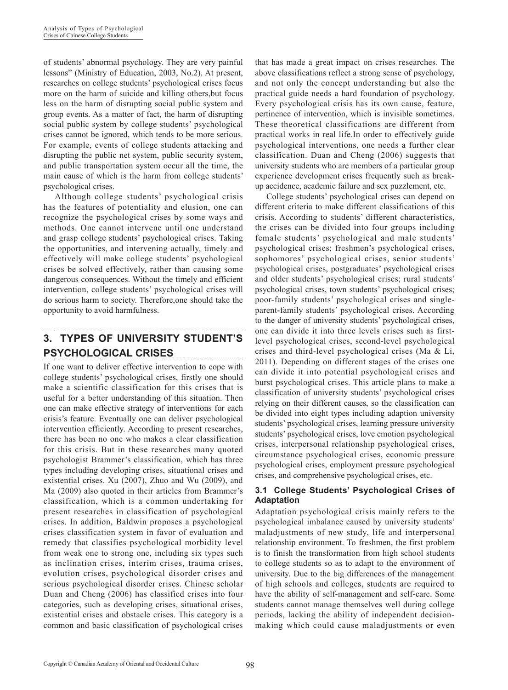of students' abnormal psychology. They are very painful lessons" (Ministry of Education, 2003, No.2). At present, researches on college students' psychological crises focus more on the harm of suicide and killing others,but focus less on the harm of disrupting social public system and group events. As a matter of fact, the harm of disrupting social public system by college students' psychological crises cannot be ignored, which tends to be more serious. For example, events of college students attacking and disrupting the public net system, public security system, and public transportation system occur all the time, the main cause of which is the harm from college students' psychological crises.

Although college students' psychological crisis has the features of potentiality and elusion, one can recognize the psychological crises by some ways and methods. One cannot intervene until one understand and grasp college students' psychological crises. Taking the opportunities, and intervening actually, timely and effectively will make college students' psychological crises be solved effectively, rather than causing some dangerous consequences. Without the timely and efficient intervention, college students' psychological crises will do serious harm to society. Therefore,one should take the opportunity to avoid harmfulness.

## **3. TYPES OF UNIVERSITY STUDENT'S PSYCHOLOGICAL CRISES**

If one want to deliver effective intervention to cope with college students' psychological crises, firstly one should make a scientific classification for this crises that is useful for a better understanding of this situation. Then one can make effective strategy of interventions for each crisis's feature. Eventually one can deliver psychological intervention efficiently. According to present researches, there has been no one who makes a clear classification for this crisis. But in these researches many quoted psychologist Brammer's classification, which has three types including developing crises, situational crises and existential crises. Xu (2007), Zhuo and Wu (2009), and Ma (2009) also quoted in their articles from Brammer's classification, which is a common undertaking for present researches in classification of psychological crises. In addition, Baldwin proposes a psychological crises classification system in favor of evaluation and remedy that classifies psychological morbidity level from weak one to strong one, including six types such as inclination crises, interim crises, trauma crises, evolution crises, psychological disorder crises and serious psychological disorder crises. Chinese scholar Duan and Cheng (2006) has classified crises into four categories, such as developing crises, situational crises, existential crises and obstacle crises. This category is a common and basic classification of psychological crises

that has made a great impact on crises researches. The above classifications reflect a strong sense of psychology, and not only the concept understanding but also the practical guide needs a hard foundation of psychology. Every psychological crisis has its own cause, feature, pertinence of intervention, which is invisible sometimes. These theoretical classifications are different from practical works in real life.In order to effectively guide psychological interventions, one needs a further clear classification. Duan and Cheng (2006) suggests that university students who are members of a particular group experience development crises frequently such as breakup accidence, academic failure and sex puzzlement, etc.

College students' psychological crises can depend on different criteria to make different classifications of this crisis. According to students' different characteristics, the crises can be divided into four groups including female students' psychological and male students' psychological crises; freshmen's psychological crises, sophomores' psychological crises, senior students' psychological crises, postgraduates' psychological crises and older students' psychological crises; rural students' psychological crises, town students' psychological crises; poor-family students' psychological crises and singleparent-family students' psychological crises. According to the danger of university students' psychological crises, one can divide it into three levels crises such as firstlevel psychological crises, second-level psychological crises and third-level psychological crises (Ma & Li, 2011). Depending on different stages of the crises one can divide it into potential psychological crises and burst psychological crises. This article plans to make a classification of university students' psychological crises relying on their different causes, so the classification can be divided into eight types including adaption university students' psychological crises, learning pressure university students' psychological crises, love emotion psychological crises, interpersonal relationship psychological crises, circumstance psychological crises, economic pressure psychological crises, employment pressure psychological crises, and comprehensive psychological crises, etc.

#### **3.1 College Students' Psychological Crises of Adaptation**

Adaptation psychological crisis mainly refers to the psychological imbalance caused by university students' maladjustments of new study, life and interpersonal relationship environment. To freshmen, the first problem is to finish the transformation from high school students to college students so as to adapt to the environment of university. Due to the big differences of the management of high schools and colleges, students are required to have the ability of self-management and self-care. Some students cannot manage themselves well during college periods, lacking the ability of independent decisionmaking which could cause maladjustments or even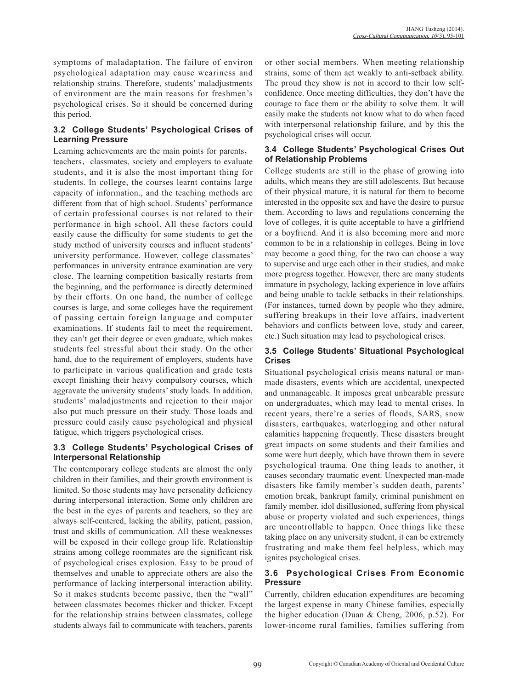symptoms of maladaptation. The failure of environ psychological adaptation may cause weariness and relationship strains. Therefore, students' maladjustments of environment are the main reasons for freshmen's psychological crises. So it should be concerned during this period.

### **3.2 College Students' Psychological Crises of Learning Pressure**

Learning achievements are the main points for parents, teachers, classmates, society and employers to evaluate students, and it is also the most important thing for students. In college, the courses learnt contains large capacity of information., and the teaching methods are different from that of high school. Students' performance of certain professional courses is not related to their performance in high school. All these factors could easily cause the difficulty for some students to get the study method of university courses and influent students' university performance. However, college classmates' performances in university entrance examination are very close. The learning competition basically restarts from the beginning, and the performance is directly determined by their efforts. On one hand, the number of college courses is large, and some colleges have the requirement of passing certain foreign language and computer examinations. If students fail to meet the requirement, they can't get their degree or even graduate, which makes students feel stressful about their study. On the other hand, due to the requirement of employers, students have to participate in various qualification and grade tests except finishing their heavy compulsory courses, which aggravate the university students' study loads. In addition, students' maladjustments and rejection to their major also put much pressure on their study. Those loads and pressure could easily cause psychological and physical fatigue, which triggers psychological crises.

### **3.3 College Students' Psychological Crises of Interpersonal Relationship**

The contemporary college students are almost the only children in their families, and their growth environment is limited. So those students may have personality deficiency during interpersonal interaction. Some only children are the best in the eyes of parents and teachers, so they are always self-centered, lacking the ability, patient, passion, trust and skills of communication. All these weaknesses will be exposed in their college group life. Relationship strains among college roommates are the significant risk of psychological crises explosion. Easy to be proud of themselves and unable to appreciate others are also the performance of lacking interpersonal interaction ability. So it makes students become passive, then the "wall" between classmates becomes thicker and thicker. Except for the relationship strains between classmates, college students always fail to communicate with teachers, parents or other social members. When meeting relationship strains, some of them act weakly to anti-setback ability. The proud they show is not in accord to their low selfconfidence. Once meeting difficulties, they don't have the courage to face them or the ability to solve them. It will easily make the students not know what to do when faced with interpersonal relationship failure, and by this the psychological crises will occur.

#### **3.4 College Students' Psychological Crises Out of Relationship Problems**

College students are still in the phase of growing into adults, which means they are still adolescents. But because of their physical mature, it is natural for them to become interested in the opposite sex and have the desire to pursue them. According to laws and regulations concerning the love of colleges, it is quite acceptable to have a girlfriend or a boyfriend. And it is also becoming more and more common to be in a relationship in colleges. Being in love may become a good thing, for the two can choose a way to supervise and urge each other in their studies, and make more progress together. However, there are many students immature in psychology, lacking experience in love affairs and being unable to tackle setbacks in their relationships. (For instances, turned down by people who they admire, suffering breakups in their love affairs, inadvertent behaviors and conflicts between love, study and career, etc.) Such situation may lead to psychological crises.

### **3.5 College Students' Situational Psychological Crises**

Situational psychological crisis means natural or manmade disasters, events which are accidental, unexpected and unmanageable. It imposes great unbearable pressure on undergraduates, which may lead to mental crises. In recent years, there're a series of floods, SARS, snow disasters, earthquakes, waterlogging and other natural calamities happening frequently. These disasters brought great impacts on some students and their families and some were hurt deeply, which have thrown them in severe psychological trauma. One thing leads to another, it causes secondary traumatic event. Unexpected man-made disasters like family member's sudden death, parents' emotion break, bankrupt family, criminal punishment on family member, idol disillusioned, suffering from physical abuse or property violated and such experiences, things are uncontrollable to happen. Once things like these taking place on any university student, it can be extremely frustrating and make them feel helpless, which may ignites psychological crises.

### **3.6 Psychological Crises From Economic Pressure**

Currently, children education expenditures are becoming the largest expense in many Chinese families, especially the higher education (Duan & Cheng, 2006, p.52). For lower-income rural families, families suffering from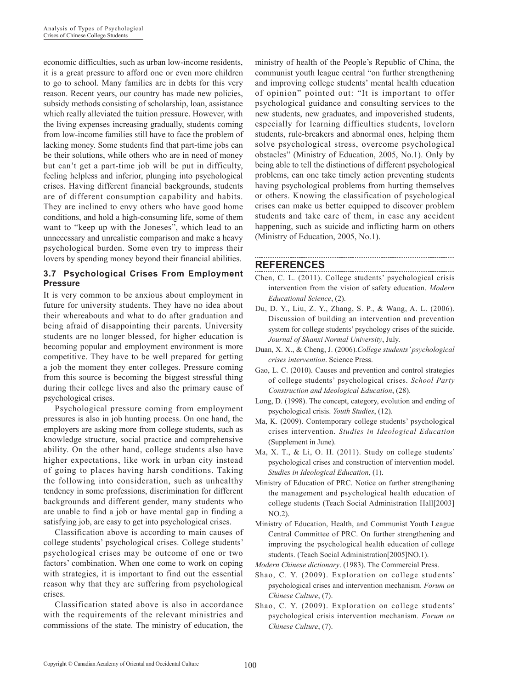economic difficulties, such as urban low-income residents, it is a great pressure to afford one or even more children to go to school. Many families are in debts for this very reason. Recent years, our country has made new policies, subsidy methods consisting of scholarship, loan, assistance which really alleviated the tuition pressure. However, with the living expenses increasing gradually, students coming from low-income families still have to face the problem of lacking money. Some students find that part-time jobs can be their solutions, while others who are in need of money but can't get a part-time job will be put in difficulty, feeling helpless and inferior, plunging into psychological crises. Having different financial backgrounds, students are of different consumption capability and habits. They are inclined to envy others who have good home conditions, and hold a high-consuming life, some of them want to "keep up with the Joneses", which lead to an unnecessary and unrealistic comparison and make a heavy psychological burden. Some even try to impress their lovers by spending money beyond their financial abilities.

#### **3.7 Psychological Crises From Employment Pressure**

It is very common to be anxious about employment in future for university students. They have no idea about their whereabouts and what to do after graduation and being afraid of disappointing their parents. University students are no longer blessed, for higher education is becoming popular and employment environment is more competitive. They have to be well prepared for getting a job the moment they enter colleges. Pressure coming from this source is becoming the biggest stressful thing during their college lives and also the primary cause of psychological crises.

Psychological pressure coming from employment pressures is also in job hunting process. On one hand, the employers are asking more from college students, such as knowledge structure, social practice and comprehensive ability. On the other hand, college students also have higher expectations, like work in urban city instead of going to places having harsh conditions. Taking the following into consideration, such as unhealthy tendency in some professions, discrimination for different backgrounds and different gender, many students who are unable to find a job or have mental gap in finding a satisfying job, are easy to get into psychological crises.

Classification above is according to main causes of college students' psychological crises. College students' psychological crises may be outcome of one or two factors' combination. When one come to work on coping with strategies, it is important to find out the essential reason why that they are suffering from psychological crises.

Classification stated above is also in accordance with the requirements of the relevant ministries and commissions of the state. The ministry of education, the ministry of health of the People's Republic of China, the communist youth league central "on further strengthening and improving college students' mental health education of opinion" pointed out: "It is important to offer psychological guidance and consulting services to the new students, new graduates, and impoverished students, especially for learning difficulties students, lovelorn students, rule-breakers and abnormal ones, helping them solve psychological stress, overcome psychological obstacles" (Ministry of Education, 2005, No.1). Only by being able to tell the distinctions of different psychological problems, can one take timely action preventing students having psychological problems from hurting themselves or others. Knowing the classification of psychological crises can make us better equipped to discover problem students and take care of them, in case any accident happening, such as suicide and inflicting harm on others (Ministry of Education, 2005, No.1).

#### **REFERENCES**

- Chen, C. L. (2011). College students' psychological crisis intervention from the vision of safety education. *Modern Educational Science*, (2).
- Du, D. Y., Liu, Z. Y., Zhang, S. P., & Wang, A. L. (2006). Discussion of building an intervention and prevention system for college students' psychology crises of the suicide. *Journal of Shanxi Normal University*, July.
- Duan, X. X., & Cheng, J. (2006).*College students' psychological crises intervention*. Science Press.
- Gao, L. C. (2010). Causes and prevention and control strategies of college students' psychological crises. *School Party Construction and Ideological Education*, (28).
- Long, D. (1998). The concept, category, evolution and ending of psychological crisis. *Youth Studies*, (12).
- Ma, K. (2009). Contemporary college students' psychological crises intervention. *Studies in Ideological Education* (Supplement in June).
- Ma, X. T., & Li, O. H. (2011). Study on college students' psychological crises and construction of intervention model. *Studies in Ideological Education*, (1).
- Ministry of Education of PRC. Notice on further strengthening the management and psychological health education of college students (Teach Social Administration Hall[2003] NO.2).
- Ministry of Education, Health, and Communist Youth League Central Committee of PRC. On further strengthening and improving the psychological health education of college students. (Teach Social Administration[2005]NO.1).

*Modern Chinese dictionary*. (1983). The Commercial Press.

- Shao, C. Y. (2009). Exploration on college students' psychological crises and intervention mechanism. *Forum on Chinese Culture*, (7).
- Shao, C. Y. (2009). Exploration on college students' psychological crisis intervention mechanism. *Forum on Chinese Culture*, (7).